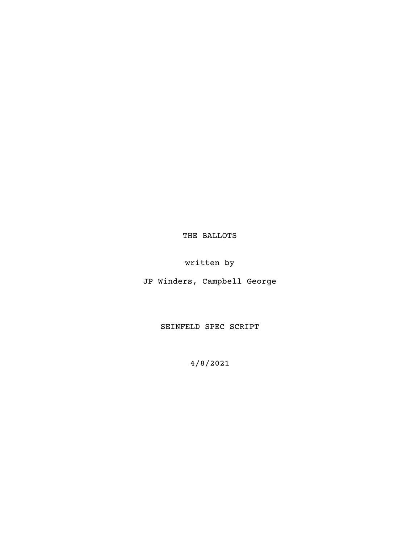THE BALLOTS

written by

JP Winders, Campbell George

SEINFELD SPEC SCRIPT

4/8/2021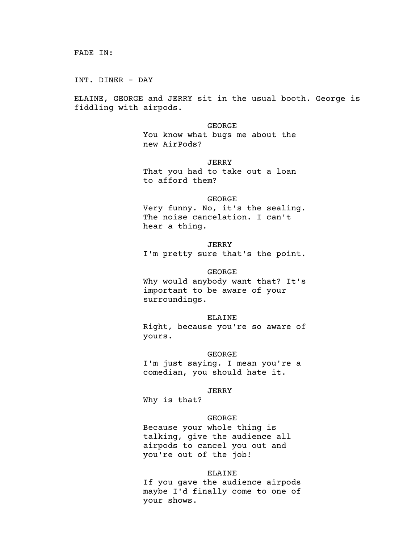INT. DINER - DAY

ELAINE, GEORGE and JERRY sit in the usual booth. George is fiddling with airpods.

> GEORGE You know what bugs me about the new AirPods?

> *JERRY* That you had to take out a loan to afford them?

#### GEORGE

Very funny. No, it's the sealing. The noise cancelation. I can't hear a thing.

JERRY I'm pretty sure that's the point.

# GEORGE

Why would anybody want that? It's important to be aware of your surroundings.

# ELAINE

Right, because you're so aware of yours.

#### GEORGE

I'm just saying. I mean you're a comedian, you should hate it.

# **JERRY**

Why is that?

# GEORGE

Because your whole thing is talking, give the audience all airpods to cancel you out and you're out of the job!

# ELAINE

If you gave the audience airpods maybe I'd finally come to one of your shows.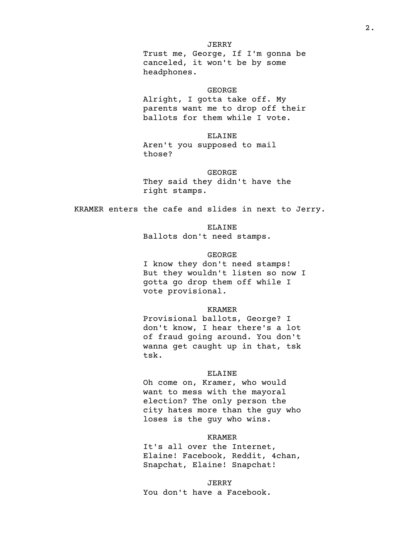# JERRY

Trust me, George, If I'm gonna be canceled, it won't be by some headphones.

### GEORGE

Alright, I gotta take off. My parents want me to drop off their ballots for them while I vote.

# ELAINE

Aren't you supposed to mail those?

## GEORGE

They said they didn't have the right stamps.

KRAMER enters the cafe and slides in next to Jerry.

ELAINE Ballots don't need stamps.

# GEORGE

I know they don't need stamps! But they wouldn't listen so now I gotta go drop them off while I vote provisional.

# KRAMER

Provisional ballots, George? I don't know, I hear there's a lot of fraud going around. You don't wanna get caught up in that, tsk tsk.

### ELAINE

Oh come on, Kramer, who would want to mess with the mayoral election? The only person the city hates more than the guy who loses is the guy who wins.

# KRAMER

It's all over the Internet, Elaine! Facebook, Reddit, 4chan, Snapchat, Elaine! Snapchat!

JERRY You don't have a Facebook.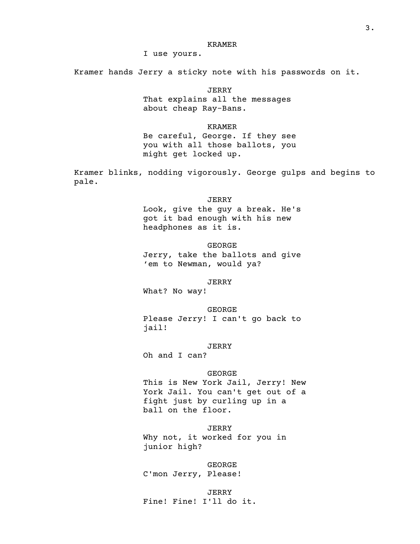#### KRAMER

I use yours.

Kramer hands Jerry a sticky note with his passwords on it.

*JERRY* That explains all the messages about cheap Ray-Bans.

KRAMER Be careful, George. If they see you with all those ballots, you might get locked up.

Kramer blinks, nodding vigorously. George gulps and begins to pale.

> JERRY Look, give the guy a break. He's got it bad enough with his new headphones as it is.

> GEORGE Jerry, take the ballots and give 'em to Newman, would ya?

> > *JERRY*

What? No way!

GEORGE Please Jerry! I can't go back to jail!

JERRY

Oh and I can?

GEORGE

This is New York Jail, Jerry! New York Jail. You can't get out of a fight just by curling up in a ball on the floor.

JERRY Why not, it worked for you in junior high?

GEORGE C'mon Jerry, Please!

JERRY Fine! Fine! I'll do it.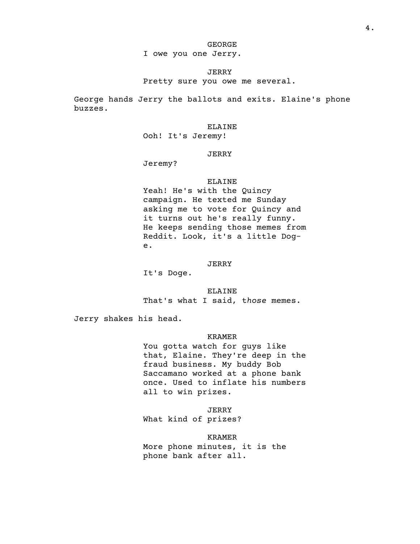### GEORGE

I owe you one Jerry.

# JERRY

Pretty sure you owe me several.

George hands Jerry the ballots and exits. Elaine's phone buzzes.

#### ELAINE

Ooh! It's Jeremy!

# JERRY

Jeremy?

# ELAINE

Yeah! He's with the Quincy campaign. He texted me Sunday asking me to vote for Quincy and it turns out he's really funny. He keeps sending those memes from Reddit. Look, it's a little Doge.

# JERRY

It's Doge.

ELAINE That's what I said, t*hose* memes.

Jerry shakes his head.

# KRAMER

You gotta watch for guys like that, Elaine. They're deep in the fraud business. My buddy Bob Saccamano worked at a phone bank once. Used to inflate his numbers all to win prizes.

# JERRY

What kind of prizes?

# KRAMER

More phone minutes, it is the phone bank after all.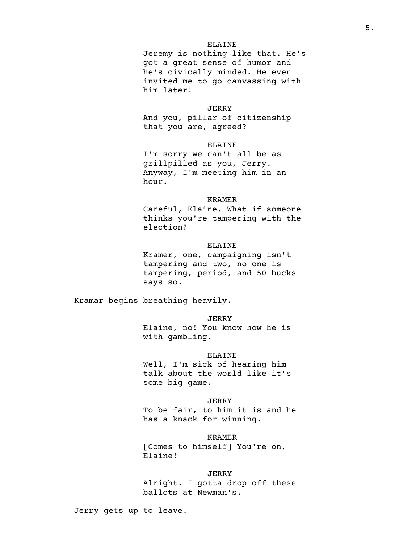# ELAINE

Jeremy is nothing like that. He's got a great sense of humor and he's civically minded. He even invited me to go canvassing with him later!

# *JERRY*

And you, pillar of citizenship that you are, agreed?

# ELAINE

I'm sorry we can't all be as grillpilled as you, Jerry. Anyway, I'm meeting him in an hour.

### KRAMER

Careful, Elaine. What if someone thinks you're tampering with the election?

# ELAINE

Kramer, one, campaigning isn't tampering and two, no one is tampering, period, and 50 bucks says so.

Kramar begins breathing heavily.

**JERRY** 

Elaine, no! You know how he is with gambling.

ELAINE

Well, I'm sick of hearing him talk about the world like it's some big game.

JERRY To be fair, to him it is and he has a knack for winning.

KRAMER [Comes to himself] You're on, Elaine!

JERRY Alright. I gotta drop off these ballots at Newman's.

Jerry gets up to leave.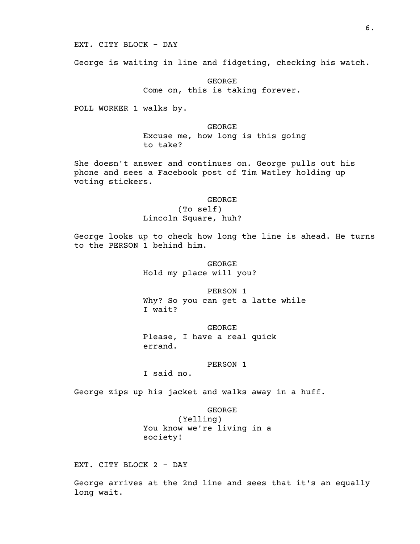EXT. CITY BLOCK - DAY

George is waiting in line and fidgeting, checking his watch.

GEORGE Come on, this is taking forever.

POLL WORKER 1 walks by.

GEORGE Excuse me, how long is this going to take?

She doesn't answer and continues on. George pulls out his phone and sees a Facebook post of Tim Watley holding up voting stickers.

> GEORGE (To self) Lincoln Square, huh?

George looks up to check how long the line is ahead. He turns to the PERSON 1 behind him.

> GEORGE Hold my place will you?

PERSON 1 Why? So you can get a latte while I wait?

GEORGE Please, I have a real quick errand.

PERSON 1

I said no.

George zips up his jacket and walks away in a huff.

# GEORGE

(Yelling) You know we're living in a society!

EXT. CITY BLOCK 2 - DAY

George arrives at the 2nd line and sees that it's an equally long wait.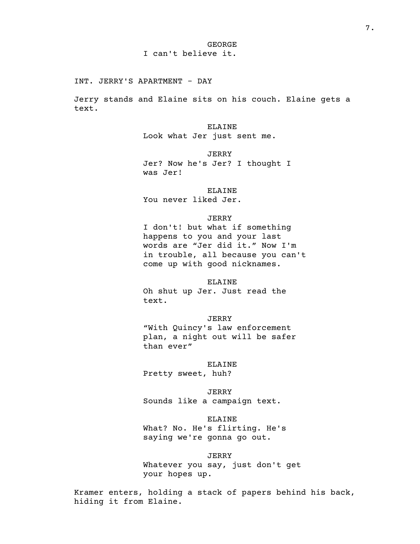I can't believe it.

INT. JERRY'S APARTMENT - DAY

Jerry stands and Elaine sits on his couch. Elaine gets a text.

> ELAINE Look what Jer just sent me.

> > JERRY

Jer? Now he's Jer? I thought I was Jer!

ELAINE You never liked Jer.

JERRY

I don't! but what if something happens to you and your last words are "Jer did it." Now I'm in trouble, all because you can't come up with good nicknames.

ELAINE Oh shut up Jer. Just read the text.

JERRY "With Quincy's law enforcement plan, a night out will be safer than ever"

ELAINE Pretty sweet, huh?

*JERRY* Sounds like a campaign text.

ELAINE What? No. He's flirting. He's saying we're gonna go out.

JERRY Whatever you say, just don't get your hopes up.

Kramer enters, holding a stack of papers behind his back, hiding it from Elaine.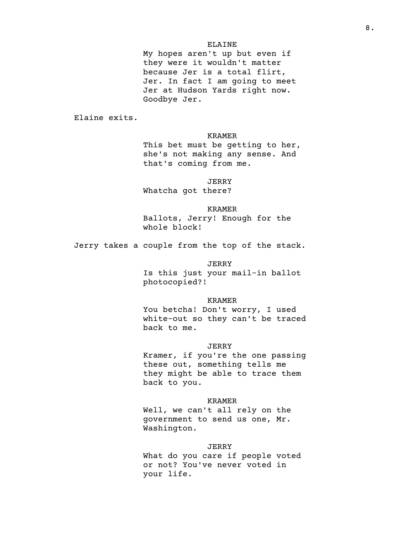# ELAINE

My hopes aren't up but even if they were it wouldn't matter because Jer is a total flirt, Jer. In fact I am going to meet Jer at Hudson Yards right now. Goodbye Jer.

Elaine exits.

# KRAMER

This bet must be getting to her, she's not making any sense. And that's coming from me.

*JERRY* 

Whatcha got there?

# KRAMER

Ballots, Jerry! Enough for the whole block!

Jerry takes a couple from the top of the stack.

# JERRY

Is this just your mail-in ballot photocopied?!

# KRAMER

You betcha! Don't worry, I used white-out so they can't be traced back to me.

# JERRY

Kramer, if you're the one passing these out, something tells me they might be able to trace them back to you.

# KRAMER

Well, we can't all rely on the government to send us one, Mr. Washington.

# JERRY

What do you care if people voted or not? You've never voted in your life.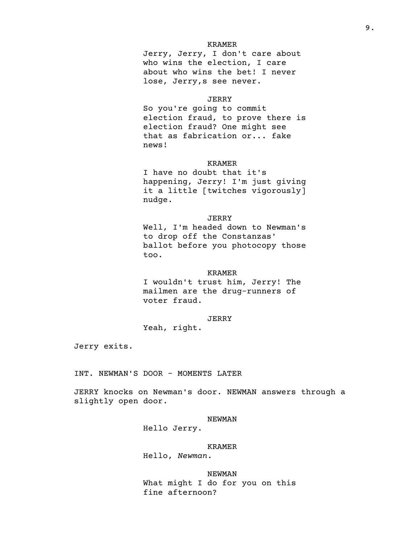# KRAMER

Jerry, Jerry, I don't care about who wins the election, I care about who wins the bet! I never lose, Jerry,s see never.

# JERRY

So you're going to commit election fraud, to prove there is election fraud? One might see that as fabrication or... fake news!

# KRAMER

I have no doubt that it's happening, Jerry! I'm just giving it a little [twitches vigorously] nudge.

### JERRY

Well, I'm headed down to Newman's to drop off the Constanzas' ballot before you photocopy those too.

#### KRAMER

I wouldn't trust him, Jerry! The mailmen are the drug-runners of voter fraud.

#### *JERRY*

Yeah, right.

Jerry exits.

INT. NEWMAN'S DOOR - MOMENTS LATER

JERRY knocks on Newman's door. NEWMAN answers through a slightly open door.

# NEWMAN

Hello Jerry.

KRAMER Hello, *Newman*.

NEWMAN What might I do for you on this fine afternoon?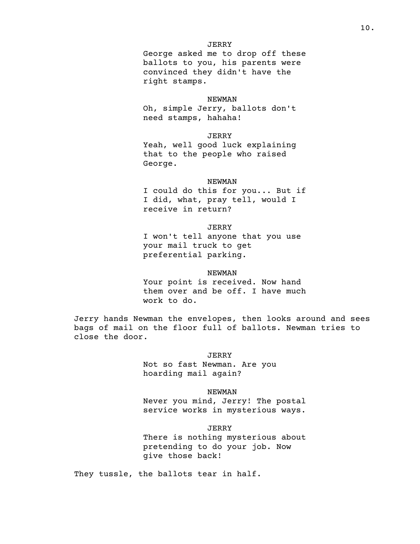George asked me to drop off these ballots to you, his parents were convinced they didn't have the right stamps.

#### NEWMAN

Oh, simple Jerry, ballots don't need stamps, hahaha!

JERRY

Yeah, well good luck explaining that to the people who raised George.

### NEWMAN

I could do this for you... But if I did, what, pray tell, would I receive in return?

JERRY

I won't tell anyone that you use your mail truck to get preferential parking.

NEWMAN Your point is received. Now hand them over and be off. I have much work to do.

Jerry hands Newman the envelopes, then looks around and sees bags of mail on the floor full of ballots. Newman tries to close the door.

> **JERRY** Not so fast Newman. Are you hoarding mail again?

> > NEWMAN

Never you mind, Jerry! The postal service works in mysterious ways.

JERRY

There is nothing mysterious about pretending to do your job. Now give those back!

They tussle, the ballots tear in half.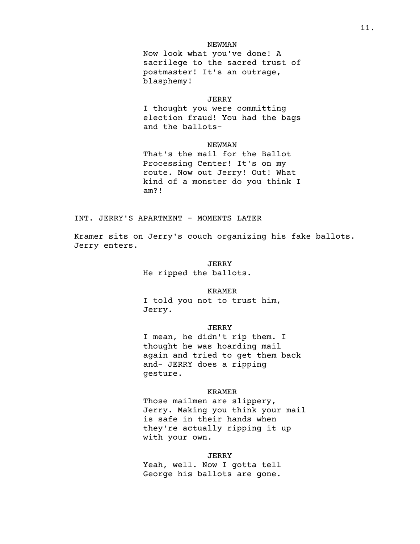#### NEWMAN

Now look what you've done! A sacrilege to the sacred trust of postmaster! It's an outrage, blasphemy!

#### JERRY

I thought you were committing election fraud! You had the bags and the ballots-

#### NEWMAN

That's the mail for the Ballot Processing Center! It's on my route. Now out Jerry! Out! What kind of a monster do you think I am?!

INT. JERRY'S APARTMENT - MOMENTS LATER

Kramer sits on Jerry's couch organizing his fake ballots. Jerry enters.

# JERRY He ripped the ballots.

#### KRAMER

I told you not to trust him, Jerry.

# JERRY

I mean, he didn't rip them. I thought he was hoarding mail again and tried to get them back and- JERRY does a ripping gesture.

#### KRAMER

Those mailmen are slippery, Jerry. Making you think your mail is safe in their hands when they're actually ripping it up with your own.

# JERRY

Yeah, well. Now I gotta tell George his ballots are gone.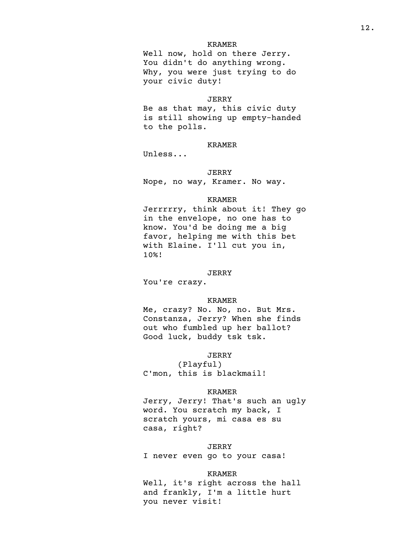### KRAMER

Well now, hold on there Jerry. You didn't do anything wrong. Why, you were just trying to do your civic duty!

### JERRY

Be as that may, this civic duty is still showing up empty-handed to the polls.

# KRAMER

Unless...

#### JERRY

Nope, no way, Kramer. No way.

### KRAMER

Jerrrrry, think about it! They go in the envelope, no one has to know. You'd be doing me a big favor, helping me with this bet with Elaine. I'll cut you in, 10%!

#### JERRY

You're crazy.

# KRAMER

Me, crazy? No. No, no. But Mrs. Constanza, Jerry? When she finds out who fumbled up her ballot? Good luck, buddy tsk tsk.

# *JERRY*

(Playful) C'mon, this is blackmail!

#### KRAMER

Jerry, Jerry! That's such an ugly word. You scratch my back, I scratch yours, mi casa es su casa, right?

#### JERRY

I never even go to your casa!

#### KRAMER

Well, it's right across the hall and frankly, I'm a little hurt you never visit!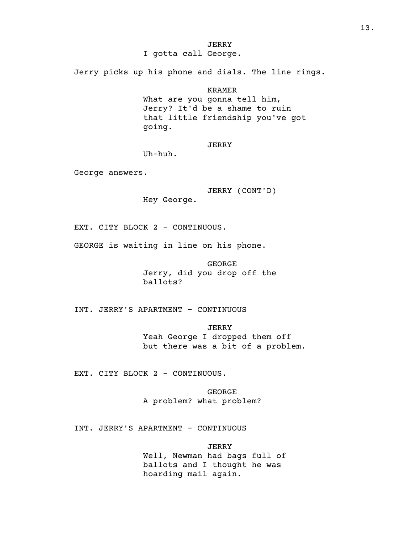JERRY I gotta call George.

Jerry picks up his phone and dials. The line rings.

# KRAMER

What are you gonna tell him, Jerry? It'd be a shame to ruin that little friendship you've got going.

# **JERRY**

Uh-huh.

George answers.

JERRY (CONT'D)

Hey George.

EXT. CITY BLOCK 2 - CONTINUOUS.

GEORGE is waiting in line on his phone.

GEORGE Jerry, did you drop off the ballots?

INT. JERRY'S APARTMENT - CONTINUOUS

JERRY Yeah George I dropped them off but there was a bit of a problem.

EXT. CITY BLOCK 2 - CONTINUOUS.

GEORGE A problem? what problem?

INT. JERRY'S APARTMENT - CONTINUOUS

JERRY Well, Newman had bags full of ballots and I thought he was hoarding mail again.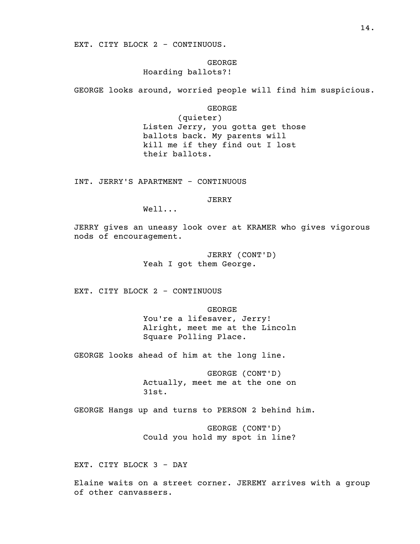EXT. CITY BLOCK 2 - CONTINUOUS.

# GEORGE Hoarding ballots?!

GEORGE looks around, worried people will find him suspicious.

GEORGE

(quieter) Listen Jerry, you gotta get those ballots back. My parents will kill me if they find out I lost their ballots.

INT. JERRY'S APARTMENT - CONTINUOUS

JERRY

Well...

JERRY gives an uneasy look over at KRAMER who gives vigorous nods of encouragement.

> JERRY (CONT'D) Yeah I got them George.

EXT. CITY BLOCK 2 - CONTINUOUS

GEORGE You're a lifesaver, Jerry! Alright, meet me at the Lincoln Square Polling Place.

GEORGE looks ahead of him at the long line.

GEORGE (CONT'D) Actually, meet me at the one on 31st.

GEORGE Hangs up and turns to PERSON 2 behind him.

GEORGE (CONT'D) Could you hold my spot in line?

EXT. CITY BLOCK 3 - DAY

Elaine waits on a street corner. JEREMY arrives with a group of other canvassers.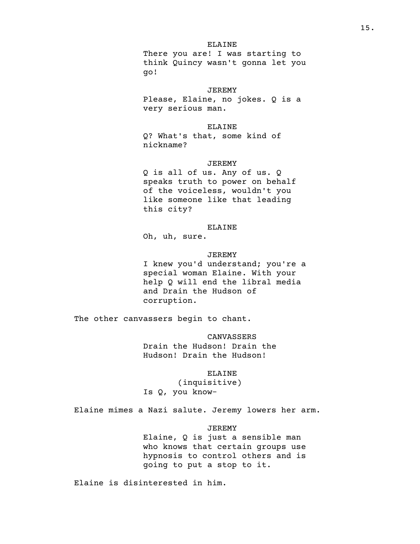# ELAINE

There you are! I was starting to think Quincy wasn't gonna let you go!

### JEREMY

Please, Elaine, no jokes. Q is a very serious man.

### ELAINE

Q? What's that, some kind of nickname?

# JEREMY

Q is all of us. Any of us. Q speaks truth to power on behalf of the voiceless, wouldn't you like someone like that leading this city?

### ELAINE

Oh, uh, sure.

# JEREMY

I knew you'd understand; you're a special woman Elaine. With your help Q will end the libral media and Drain the Hudson of corruption.

The other canvassers begin to chant.

CANVASSERS Drain the Hudson! Drain the Hudson! Drain the Hudson!

### ELAINE

(inquisitive) Is Q, you know-

Elaine mimes a Nazi salute. Jeremy lowers her arm.

#### JEREMY

Elaine, Q is just a sensible man who knows that certain groups use hypnosis to control others and is going to put a stop to it.

Elaine is disinterested in him.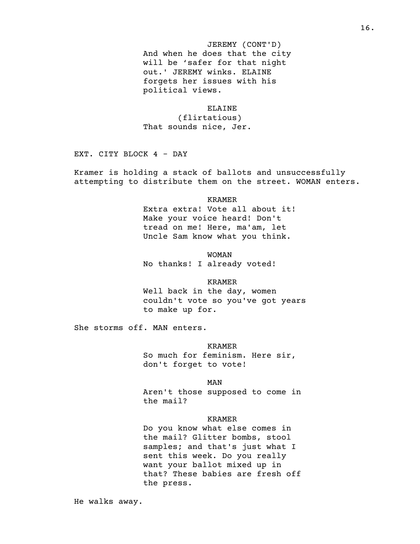JEREMY (CONT'D) And when he does that the city will be 'safer for that night out.' JEREMY winks. ELAINE forgets her issues with his political views.

ELAINE

(flirtatious) That sounds nice, Jer.

EXT. CITY BLOCK 4 - DAY

Kramer is holding a stack of ballots and unsuccessfully attempting to distribute them on the street. WOMAN enters.

KRAMER

Extra extra! Vote all about it! Make your voice heard! Don't tread on me! Here, ma'am, let Uncle Sam know what you think.

WOMAN No thanks! I already voted!

KRAMER

Well back in the day, women couldn't vote so you've got years to make up for.

She storms off. MAN enters.

KRAMER

So much for feminism. Here sir, don't forget to vote!

MAN

Aren't those supposed to come in the mail?

### KRAMER

Do you know what else comes in the mail? Glitter bombs, stool samples; and that's just what I sent this week. Do you really want your ballot mixed up in that? These babies are fresh off the press.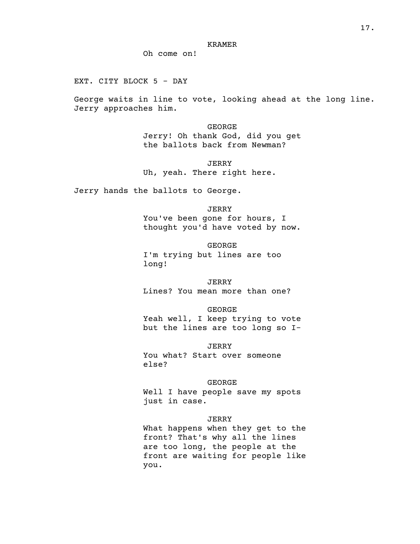Oh come on!

EXT. CITY BLOCK 5 - DAY

George waits in line to vote, looking ahead at the long line. Jerry approaches him.

> GEORGE Jerry! Oh thank God, did you get the ballots back from Newman?

JERRY Uh, yeah. There right here.

Jerry hands the ballots to George.

**JERRY** You've been gone for hours, I thought you'd have voted by now.

GEORGE I'm trying but lines are too long!

**JERRY** Lines? You mean more than one?

GEORGE Yeah well, I keep trying to vote but the lines are too long so I-

JERRY You what? Start over someone else?

GEORGE Well I have people save my spots just in case.

#### *JERRY*

What happens when they get to the front? That's why all the lines are too long, the people at the front are waiting for people like you.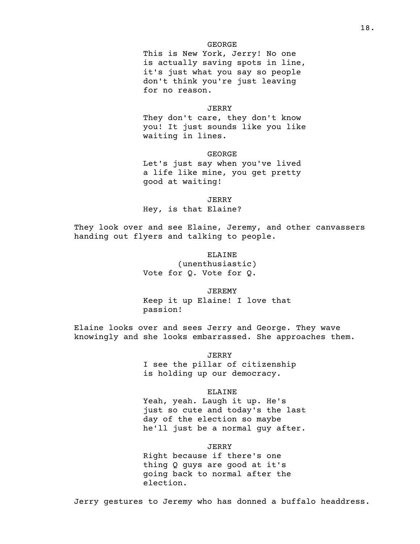# GEORGE

This is New York, Jerry! No one is actually saving spots in line, it's just what you say so people don't think you're just leaving for no reason.

# *JERRY*

They don't care, they don't know you! It just sounds like you like waiting in lines.

# GEORGE

Let's just say when you've lived a life like mine, you get pretty good at waiting!

JERRY

Hey, is that Elaine?

They look over and see Elaine, Jeremy, and other canvassers handing out flyers and talking to people.

> ELAINE (unenthusiastic) Vote for Q. Vote for Q.

#### JEREMY

Keep it up Elaine! I love that passion!

Elaine looks over and sees Jerry and George. They wave knowingly and she looks embarrassed. She approaches them.

> **JERRY** I see the pillar of citizenship is holding up our democracy.

#### ELAINE

Yeah, yeah. Laugh it up. He's just so cute and today's the last day of the election so maybe he'll just be a normal guy after.

JERRY

Right because if there's one thing Q guys are good at it's going back to normal after the election.

Jerry gestures to Jeremy who has donned a buffalo headdress.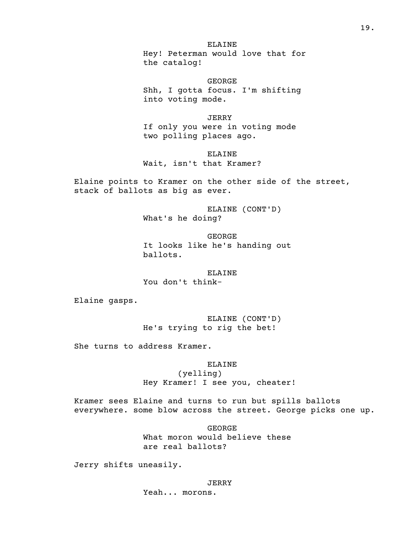ELAINE Hey! Peterman would love that for the catalog!

GEORGE Shh, I gotta focus. I'm shifting into voting mode.

JERRY If only you were in voting mode two polling places ago.

ELAINE Wait, isn't that Kramer?

Elaine points to Kramer on the other side of the street, stack of ballots as big as ever.

> ELAINE (CONT'D) What's he doing?

GEORGE It looks like he's handing out ballots.

ELAINE You don't think-

Elaine gasps.

ELAINE (CONT'D) He's trying to rig the bet!

She turns to address Kramer.

ELAINE (yelling) Hey Kramer! I see you, cheater!

Kramer sees Elaine and turns to run but spills ballots everywhere. some blow across the street. George picks one up.

> GEORGE What moron would believe these are real ballots?

Jerry shifts uneasily.

JERRY Yeah... morons.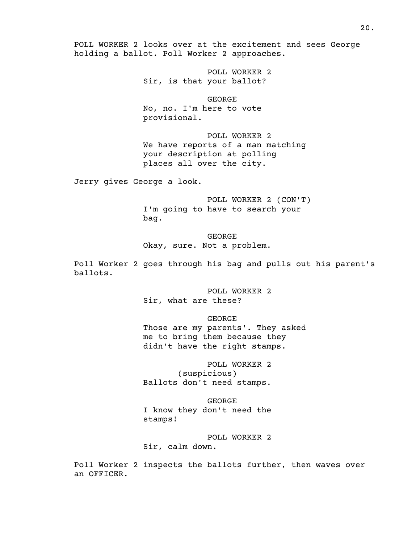POLL WORKER 2 looks over at the excitement and sees George holding a ballot. Poll Worker 2 approaches.

> POLL WORKER 2 Sir, is that your ballot?

GEORGE No, no. I'm here to vote provisional.

POLL WORKER 2 We have reports of a man matching your description at polling places all over the city.

Jerry gives George a look.

POLL WORKER 2 (CON'T) I'm going to have to search your bag.

GEORGE Okay, sure. Not a problem.

Poll Worker 2 goes through his bag and pulls out his parent's ballots.

> POLL WORKER 2 Sir, what are these?

> > GEORGE

Those are my parents'. They asked me to bring them because they didn't have the right stamps.

POLL WORKER 2 (suspicious) Ballots don't need stamps.

GEORGE I know they don't need the stamps!

POLL WORKER 2 Sir, calm down.

Poll Worker 2 inspects the ballots further, then waves over an OFFICER.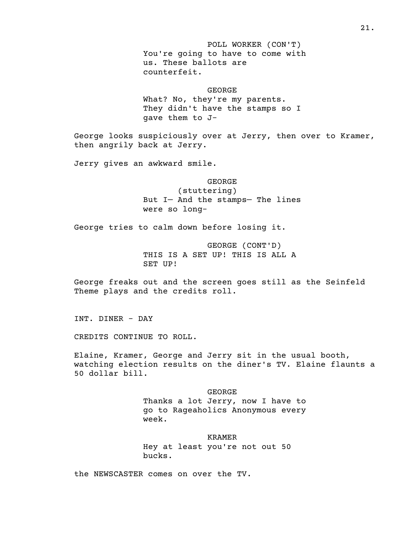POLL WORKER (CON'T) You're going to have to come with us. These ballots are counterfeit. GEORGE What? No, they're my parents. They didn't have the stamps so I gave them to J-George looks suspiciously over at Jerry, then over to Kramer, then angrily back at Jerry. Jerry gives an awkward smile. GEORGE (stuttering) But I— And the stamps— The lines were so long-George tries to calm down before losing it. GEORGE (CONT'D) THIS IS A SET UP! THIS IS ALL A SET UP! George freaks out and the screen goes still as the Seinfeld Theme plays and the credits roll. INT. DINER - DAY CREDITS CONTINUE TO ROLL.

Elaine, Kramer, George and Jerry sit in the usual booth, watching election results on the diner's TV. Elaine flaunts a 50 dollar bill.

> GEORGE Thanks a lot Jerry, now I have to go to Rageaholics Anonymous every week.

KRAMER Hey at least you're not out 50 bucks.

the NEWSCASTER comes on over the TV.